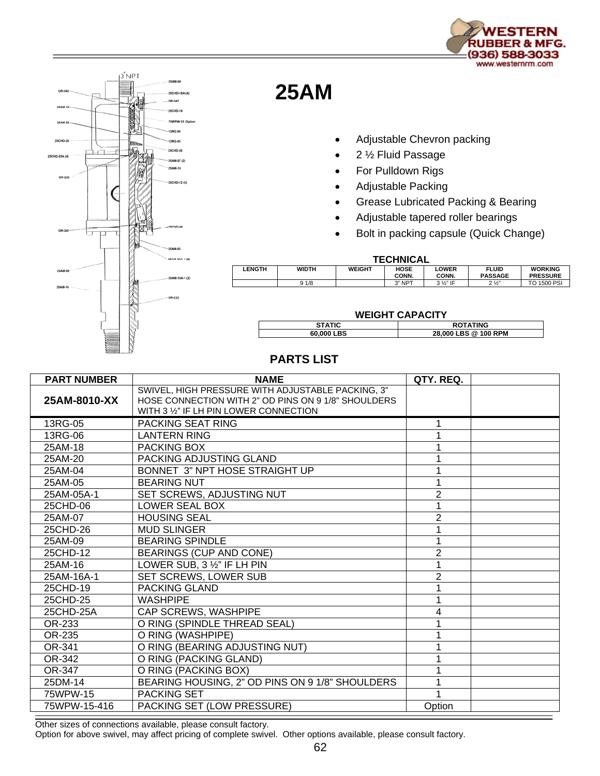



## **25AM**

- Adjustable Chevron packing
- 2 ½ Fluid Passage
- For Pulldown Rigs
- Adjustable Packing
- Grease Lubricated Packing & Bearing
- Adjustable tapered roller bearings
- Bolt in packing capsule (Quick Change)

## **TECHNICAL**

| .             |              |               |               |                       |                  |                                   |  |  |
|---------------|--------------|---------------|---------------|-----------------------|------------------|-----------------------------------|--|--|
| <b>LENGTH</b> | <b>WIDTH</b> | <b>WEIGHT</b> | HOSE<br>CONN. | <b>LOWER</b><br>CONN. | FLUID<br>PASSAGE | <b>WORKING</b><br><b>PRESSURE</b> |  |  |
|               | 9 1/8        |               | 3" NPT        | 3 1/2" IF             | 21/2<br>-        | PSI<br>то<br>1500                 |  |  |

## **WEIGHT CAPACITY STATIC ROTATING**<br> **BO,000 LBS ROTATING**<br> **ROTATING**<br> **ROTATING**<br> **ROTATING 60,000 LBS 28,000 LBS @ 100 RPM**

## **PARTS LIST**

| <b>PART NUMBER</b> | <b>NAME</b>                                                                                                                                        | QTY. REQ.      |  |
|--------------------|----------------------------------------------------------------------------------------------------------------------------------------------------|----------------|--|
| 25AM-8010-XX       | SWIVEL, HIGH PRESSURE WITH ADJUSTABLE PACKING, 3"<br>HOSE CONNECTION WITH 2" OD PINS ON 9 1/8" SHOULDERS<br>WITH 3 1/2" IF LH PIN LOWER CONNECTION |                |  |
| 13RG-05            | PACKING SEAT RING                                                                                                                                  |                |  |
| 13RG-06            | <b>LANTERN RING</b>                                                                                                                                |                |  |
| 25AM-18            | PACKING BOX                                                                                                                                        |                |  |
| 25AM-20            | PACKING ADJUSTING GLAND                                                                                                                            |                |  |
| 25AM-04            | BONNET 3" NPT HOSE STRAIGHT UP                                                                                                                     |                |  |
| 25AM-05            | <b>BEARING NUT</b>                                                                                                                                 |                |  |
| 25AM-05A-1         | SET SCREWS, ADJUSTING NUT                                                                                                                          | $\overline{2}$ |  |
| 25CHD-06           | LOWER SEAL BOX                                                                                                                                     |                |  |
| 25AM-07            | <b>HOUSING SEAL</b>                                                                                                                                | $\overline{2}$ |  |
| 25CHD-26           | <b>MUD SLINGER</b>                                                                                                                                 |                |  |
| 25AM-09            | <b>BEARING SPINDLE</b>                                                                                                                             |                |  |
| 25CHD-12           | <b>BEARINGS (CUP AND CONE)</b>                                                                                                                     | $\overline{2}$ |  |
| 25AM-16            | LOWER SUB, 3 1/2" IF LH PIN                                                                                                                        |                |  |
| 25AM-16A-1         | SET SCREWS, LOWER SUB                                                                                                                              | 2              |  |
| 25CHD-19           | <b>PACKING GLAND</b>                                                                                                                               |                |  |
| 25CHD-25           | <b>WASHPIPE</b>                                                                                                                                    |                |  |
| 25CHD-25A          | CAP SCREWS, WASHPIPE                                                                                                                               | 4              |  |
| OR-233             | O RING (SPINDLE THREAD SEAL)                                                                                                                       |                |  |
| OR-235             | O RING (WASHPIPE)                                                                                                                                  |                |  |
| OR-341             | O RING (BEARING ADJUSTING NUT)                                                                                                                     |                |  |
| OR-342             | O RING (PACKING GLAND)                                                                                                                             |                |  |
| OR-347             | O RING (PACKING BOX)                                                                                                                               |                |  |
| 25DM-14            | BEARING HOUSING, 2" OD PINS ON 9 1/8" SHOULDERS                                                                                                    |                |  |
| 75WPW-15           | <b>PACKING SET</b>                                                                                                                                 |                |  |
| 75WPW-15-416       | PACKING SET (LOW PRESSURE)                                                                                                                         | Option         |  |

Other sizes of connections available, please consult factory.

Option for above swivel, may affect pricing of complete swivel. Other options available, please consult factory.